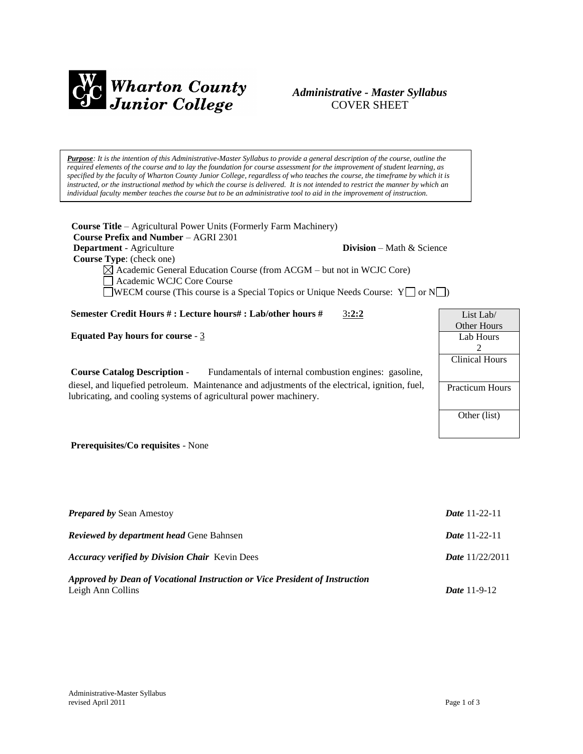

# *Administrative - Master Syllabus*  COVER SHEET

*Purpose: It is the intention of this Administrative-Master Syllabus to provide a general description of the course, outline the required elements of the course and to lay the foundation for course assessment for the improvement of student learning, as specified by the faculty of Wharton County Junior College, regardless of who teaches the course, the timeframe by which it is instructed, or the instructional method by which the course is delivered. It is not intended to restrict the manner by which an individual faculty member teaches the course but to be an administrative tool to aid in the improvement of instruction.*

**Course Title** – Agricultural Power Units (Formerly Farm Machinery)  **Course Prefix and Number** – AGRI 2301 **Department** - Agriculture **Division** – Math & Science  **Course Type**: (check one)  $\boxed{\triangle}$  Academic General Education Course (from ACGM – but not in WCJC Core)

Academic WCJC Core Course

WECM course (This course is a Special Topics or Unique Needs Course:  $Y \Box$  or  $N \Box$ )

**Semester Credit Hours # : Lecture hours# : Lab/other hours #** 3**:2:2**

**Equated Pay hours for course** - 3

**Course Catalog Description** - Fundamentals of internal combustion engines: gasoline, diesel, and liquefied petroleum. Maintenance and adjustments of the electrical, ignition, fuel, lubricating, and cooling systems of agricultural power machinery.

| Other Hours     |  |  |
|-----------------|--|--|
| Lab Hours       |  |  |
| 2               |  |  |
| Clinical Hours  |  |  |
|                 |  |  |
| Practicum Hours |  |  |
|                 |  |  |
| Other (list)    |  |  |
|                 |  |  |

List Lab/

**Prerequisites/Co requisites** - None

| <b>Prepared by Sean Amestoy</b>                                             | <b>Date</b> 11-22-11     |
|-----------------------------------------------------------------------------|--------------------------|
| <b>Reviewed by department head Gene Bahnsen</b>                             | <b>Date</b> 11-22-11     |
| <b>Accuracy verified by Division Chair</b> Kevin Dees                       | <b>Date</b> $11/22/2011$ |
| Approved by Dean of Vocational Instruction or Vice President of Instruction |                          |
| Leigh Ann Collins                                                           | <i>Date</i> $11-9-12$    |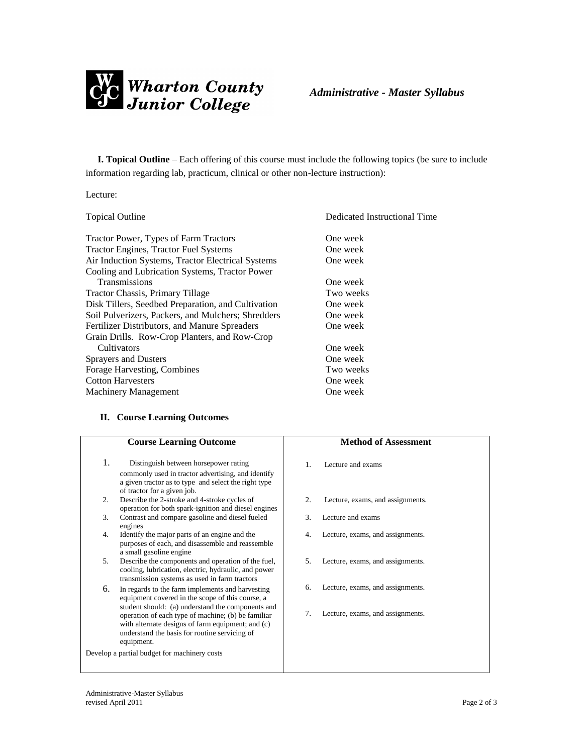

**I. Topical Outline** – Each offering of this course must include the following topics (be sure to include information regarding lab, practicum, clinical or other non-lecture instruction):

Lecture:

| <b>Topical Outline</b>                               | Dedicated Instructional Time |
|------------------------------------------------------|------------------------------|
| Tractor Power, Types of Farm Tractors                | One week                     |
| Tractor Engines, Tractor Fuel Systems                | One week                     |
| Air Induction Systems, Tractor Electrical Systems    | One week                     |
| Cooling and Lubrication Systems, Tractor Power       |                              |
| <b>Transmissions</b>                                 | One week                     |
| Tractor Chassis, Primary Tillage                     | Two weeks                    |
| Disk Tillers, Seedbed Preparation, and Cultivation   | One week                     |
| Soil Pulverizers, Packers, and Mulchers; Shredders   | One week                     |
| <b>Fertilizer Distributors, and Manure Spreaders</b> | One week                     |
| Grain Drills. Row-Crop Planters, and Row-Crop        |                              |
| <b>Cultivators</b>                                   | One week                     |
| Sprayers and Dusters                                 | One week                     |
| Forage Harvesting, Combines                          | Two weeks                    |
| <b>Cotton Harvesters</b>                             | One week                     |
| <b>Machinery Management</b>                          | One week                     |

## **II. Course Learning Outcomes**

| <b>Course Learning Outcome</b>                                                                                                                                         | <b>Method of Assessment</b>            |
|------------------------------------------------------------------------------------------------------------------------------------------------------------------------|----------------------------------------|
| 1.<br>Distinguish between horsepower rating<br>commonly used in tractor advertising, and identify<br>a given tractor as to type and select the right type              | Lecture and exams<br>$\mathbf{1}$ .    |
| of tractor for a given job.<br>Describe the 2-stroke and 4-stroke cycles of<br>2.<br>operation for both spark-ignition and diesel engines                              | 2.<br>Lecture, exams, and assignments. |
| Contrast and compare gasoline and diesel fueled<br>3.<br>engines                                                                                                       | $\mathcal{R}$<br>Lecture and exams     |
| Identify the major parts of an engine and the<br>4.<br>purposes of each, and disassemble and reassemble<br>a small gasoline engine                                     | Lecture, exams, and assignments.<br>4. |
| 5.<br>Describe the components and operation of the fuel,<br>cooling, lubrication, electric, hydraulic, and power<br>transmission systems as used in farm tractors      | 5.<br>Lecture, exams, and assignments. |
| 6.<br>In regards to the farm implements and harvesting<br>equipment covered in the scope of this course, a<br>student should: (a) understand the components and        | Lecture, exams, and assignments.<br>б. |
| operation of each type of machine; (b) be familiar<br>with alternate designs of farm equipment; and (c)<br>understand the basis for routine servicing of<br>equipment. | 7.<br>Lecture, exams, and assignments. |
| Develop a partial budget for machinery costs                                                                                                                           |                                        |